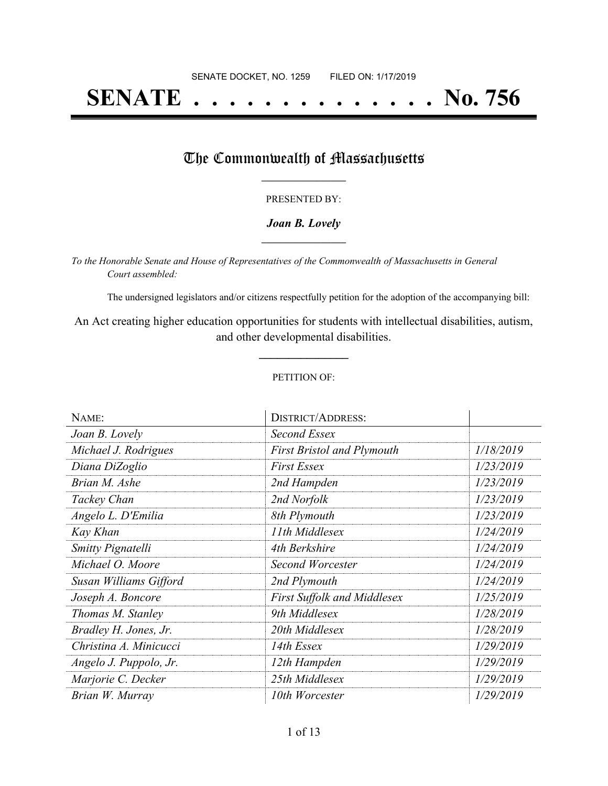# **SENATE . . . . . . . . . . . . . . No. 756**

## The Commonwealth of Massachusetts

#### PRESENTED BY:

#### *Joan B. Lovely* **\_\_\_\_\_\_\_\_\_\_\_\_\_\_\_\_\_**

*To the Honorable Senate and House of Representatives of the Commonwealth of Massachusetts in General Court assembled:*

The undersigned legislators and/or citizens respectfully petition for the adoption of the accompanying bill:

An Act creating higher education opportunities for students with intellectual disabilities, autism, and other developmental disabilities.

**\_\_\_\_\_\_\_\_\_\_\_\_\_\_\_**

#### PETITION OF:

| NAME:                  | <b>DISTRICT/ADDRESS:</b>           |           |
|------------------------|------------------------------------|-----------|
| Joan B. Lovely         | Second Essex                       |           |
| Michael J. Rodrigues   | <b>First Bristol and Plymouth</b>  | 1/18/2019 |
| Diana DiZoglio         | <b>First Essex</b>                 | 1/23/2019 |
| Brian M. Ashe          | 2nd Hampden                        | 1/23/2019 |
| Tackey Chan            | 2nd Norfolk                        | 1/23/2019 |
| Angelo L. D'Emilia     | 8th Plymouth                       | 1/23/2019 |
| Kay Khan               | 11th Middlesex                     | 1/24/2019 |
| Smitty Pignatelli      | 4th Berkshire                      | 1/24/2019 |
| Michael O. Moore       | Second Worcester                   | 1/24/2019 |
| Susan Williams Gifford | 2nd Plymouth                       | 1/24/2019 |
| Joseph A. Boncore      | <b>First Suffolk and Middlesex</b> | 1/25/2019 |
| Thomas M. Stanley      | 9th Middlesex                      | 1/28/2019 |
| Bradley H. Jones, Jr.  | 20th Middlesex                     | 1/28/2019 |
| Christina A. Minicucci | 14th Essex                         | 1/29/2019 |
| Angelo J. Puppolo, Jr. | 12th Hampden                       | 1/29/2019 |
| Marjorie C. Decker     | 25th Middlesex                     | 1/29/2019 |
| Brian W. Murray        | 10th Worcester                     | 1/29/2019 |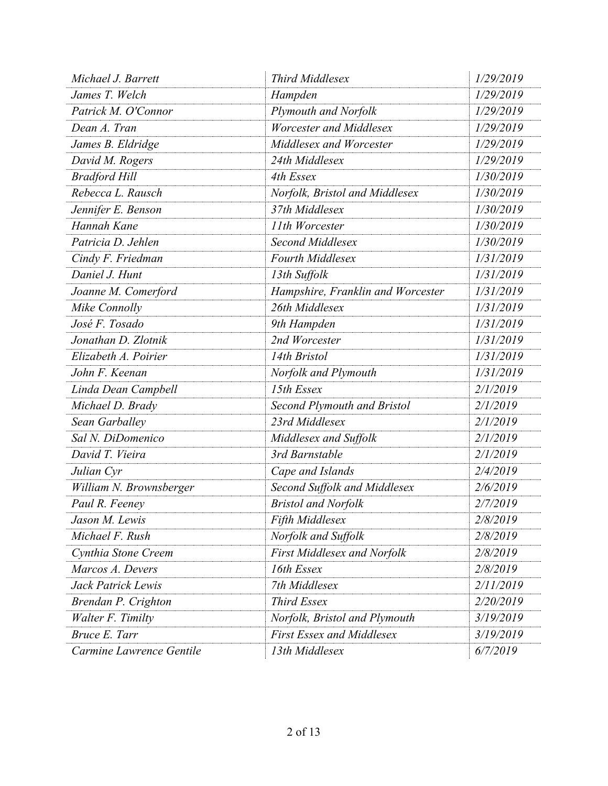| Michael J. Barrett       | <b>Third Middlesex</b>             | 1/29/2019 |
|--------------------------|------------------------------------|-----------|
| James T. Welch           | Hampden                            | 1/29/2019 |
| Patrick M. O'Connor      | Plymouth and Norfolk               | 1/29/2019 |
| Dean A. Tran             | <b>Worcester and Middlesex</b>     | 1/29/2019 |
| James B. Eldridge        | Middlesex and Worcester            | 1/29/2019 |
| David M. Rogers          | 24th Middlesex                     | 1/29/2019 |
| <b>Bradford Hill</b>     | 4th Essex                          | 1/30/2019 |
| Rebecca L. Rausch        | Norfolk, Bristol and Middlesex     | 1/30/2019 |
| Jennifer E. Benson       | 37th Middlesex                     | 1/30/2019 |
| Hannah Kane              | 11th Worcester                     | 1/30/2019 |
| Patricia D. Jehlen       | Second Middlesex                   | 1/30/2019 |
| Cindy F. Friedman        | <b>Fourth Middlesex</b>            | 1/31/2019 |
| Daniel J. Hunt           | 13th Suffolk                       | 1/31/2019 |
| Joanne M. Comerford      | Hampshire, Franklin and Worcester  | 1/31/2019 |
| Mike Connolly            | 26th Middlesex                     | 1/31/2019 |
| José F. Tosado           | 9th Hampden                        | 1/31/2019 |
| Jonathan D. Zlotnik      | 2nd Worcester                      | 1/31/2019 |
| Elizabeth A. Poirier     | 14th Bristol                       | 1/31/2019 |
| John F. Keenan           | Norfolk and Plymouth               | 1/31/2019 |
| Linda Dean Campbell      | 15th Essex                         | 2/1/2019  |
| Michael D. Brady         | <b>Second Plymouth and Bristol</b> | 2/1/2019  |
| Sean Garballey           | 23rd Middlesex                     | 2/1/2019  |
| Sal N. DiDomenico        | Middlesex and Suffolk              | 2/1/2019  |
| David T. Vieira          | 3rd Barnstable                     | 2/1/2019  |
| Julian Cyr               | Cape and Islands                   | 2/4/2019  |
| William N. Brownsberger  | Second Suffolk and Middlesex       | 2/6/2019  |
| Paul R. Feeney           | <b>Bristol and Norfolk</b>         | 2/7/2019  |
| Jason M. Lewis           | <b>Fifth Middlesex</b>             | 2/8/2019  |
| Michael F. Rush          | Norfolk and Suffolk                | 2/8/2019  |
| Cynthia Stone Creem      | <b>First Middlesex and Norfolk</b> | 2/8/2019  |
| Marcos A. Devers         | 16th Essex                         | 2/8/2019  |
| Jack Patrick Lewis       | 7th Middlesex                      | 2/11/2019 |
| Brendan P. Crighton      | <b>Third Essex</b>                 | 2/20/2019 |
| Walter F. Timilty        | Norfolk, Bristol and Plymouth      | 3/19/2019 |
| Bruce E. Tarr            | <b>First Essex and Middlesex</b>   | 3/19/2019 |
| Carmine Lawrence Gentile | 13th Middlesex                     | 6/7/2019  |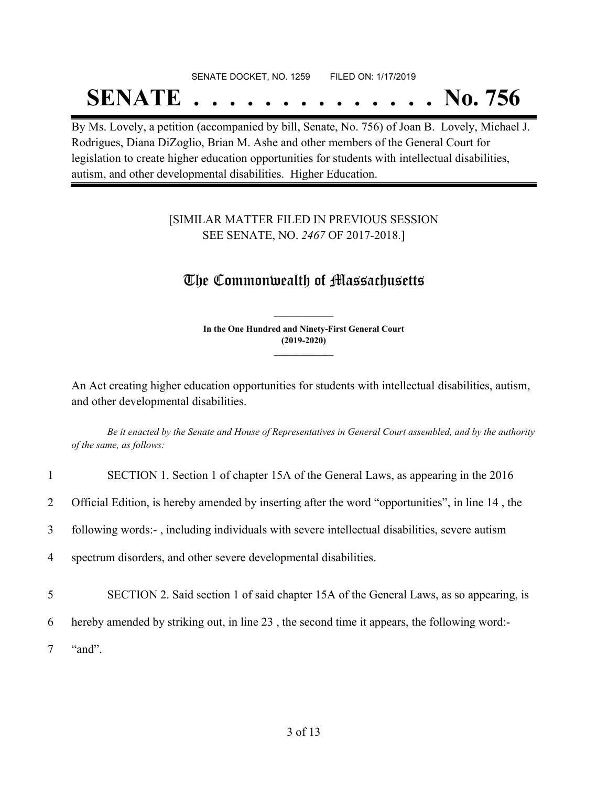# SENATE DOCKET, NO. 1259 FILED ON: 1/17/2019 **SENATE . . . . . . . . . . . . . . No. 756**

By Ms. Lovely, a petition (accompanied by bill, Senate, No. 756) of Joan B. Lovely, Michael J. Rodrigues, Diana DiZoglio, Brian M. Ashe and other members of the General Court for legislation to create higher education opportunities for students with intellectual disabilities, autism, and other developmental disabilities. Higher Education.

### [SIMILAR MATTER FILED IN PREVIOUS SESSION SEE SENATE, NO. *2467* OF 2017-2018.]

## The Commonwealth of Massachusetts

**In the One Hundred and Ninety-First General Court (2019-2020) \_\_\_\_\_\_\_\_\_\_\_\_\_\_\_**

**\_\_\_\_\_\_\_\_\_\_\_\_\_\_\_**

An Act creating higher education opportunities for students with intellectual disabilities, autism, and other developmental disabilities.

Be it enacted by the Senate and House of Representatives in General Court assembled, and by the authority *of the same, as follows:*

| $\mathbf{1}$   | SECTION 1. Section 1 of chapter 15A of the General Laws, as appearing in the 2016                |
|----------------|--------------------------------------------------------------------------------------------------|
| 2              | Official Edition, is hereby amended by inserting after the word "opportunities", in line 14, the |
| 3              | following words:-, including individuals with severe intellectual disabilities, severe autism    |
| $\overline{4}$ | spectrum disorders, and other severe developmental disabilities.                                 |
| 5              | SECTION 2. Said section 1 of said chapter 15A of the General Laws, as so appearing, is           |
| 6              | hereby amended by striking out, in line 23, the second time it appears, the following word:      |
|                | "and".                                                                                           |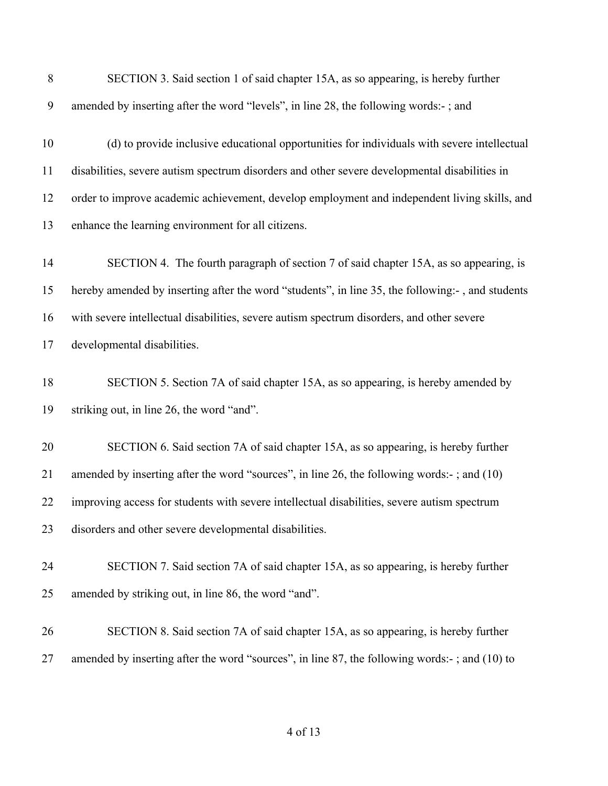| 8  | SECTION 3. Said section 1 of said chapter 15A, as so appearing, is hereby further                |
|----|--------------------------------------------------------------------------------------------------|
| 9  | amended by inserting after the word "levels", in line 28, the following words:-; and             |
| 10 | (d) to provide inclusive educational opportunities for individuals with severe intellectual      |
| 11 | disabilities, severe autism spectrum disorders and other severe developmental disabilities in    |
| 12 | order to improve academic achievement, develop employment and independent living skills, and     |
| 13 | enhance the learning environment for all citizens.                                               |
| 14 | SECTION 4. The fourth paragraph of section 7 of said chapter 15A, as so appearing, is            |
| 15 | hereby amended by inserting after the word "students", in line 35, the following:-, and students |
| 16 | with severe intellectual disabilities, severe autism spectrum disorders, and other severe        |
| 17 | developmental disabilities.                                                                      |
| 18 | SECTION 5. Section 7A of said chapter 15A, as so appearing, is hereby amended by                 |
| 19 | striking out, in line 26, the word "and".                                                        |
| 20 | SECTION 6. Said section 7A of said chapter 15A, as so appearing, is hereby further               |
| 21 | amended by inserting after the word "sources", in line 26, the following words:-; and (10)       |
| 22 | improving access for students with severe intellectual disabilities, severe autism spectrum      |
| 23 | disorders and other severe developmental disabilities.                                           |
| 24 | SECTION 7. Said section 7A of said chapter 15A, as so appearing, is hereby further               |
| 25 | amended by striking out, in line 86, the word "and".                                             |
| 26 | SECTION 8. Said section 7A of said chapter 15A, as so appearing, is hereby further               |
| 27 | amended by inserting after the word "sources", in line 87, the following words:-; and (10) to    |
|    |                                                                                                  |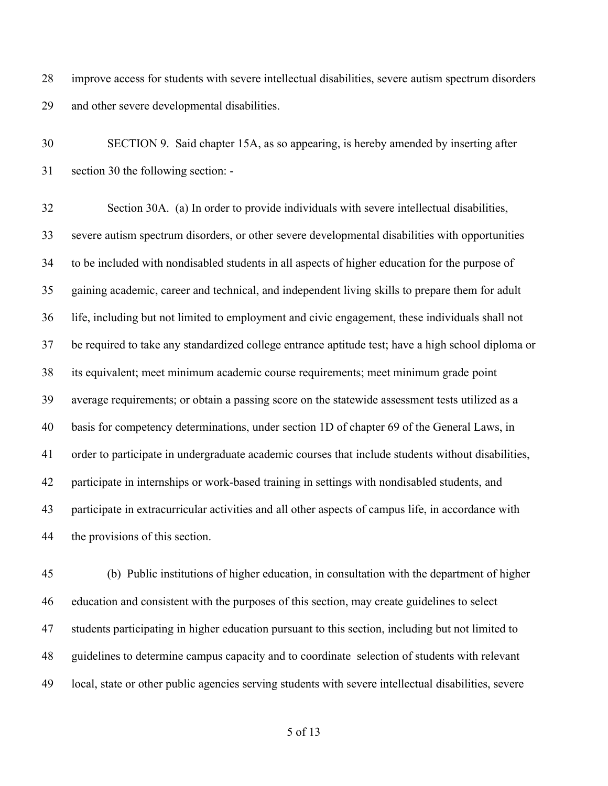improve access for students with severe intellectual disabilities, severe autism spectrum disorders and other severe developmental disabilities.

 SECTION 9. Said chapter 15A, as so appearing, is hereby amended by inserting after section 30 the following section: -

 Section 30A. (a) In order to provide individuals with severe intellectual disabilities, severe autism spectrum disorders, or other severe developmental disabilities with opportunities to be included with nondisabled students in all aspects of higher education for the purpose of gaining academic, career and technical, and independent living skills to prepare them for adult life, including but not limited to employment and civic engagement, these individuals shall not be required to take any standardized college entrance aptitude test; have a high school diploma or its equivalent; meet minimum academic course requirements; meet minimum grade point average requirements; or obtain a passing score on the statewide assessment tests utilized as a basis for competency determinations, under section 1D of chapter 69 of the General Laws, in order to participate in undergraduate academic courses that include students without disabilities, participate in internships or work-based training in settings with nondisabled students, and participate in extracurricular activities and all other aspects of campus life, in accordance with the provisions of this section.

 (b) Public institutions of higher education, in consultation with the department of higher education and consistent with the purposes of this section, may create guidelines to select students participating in higher education pursuant to this section, including but not limited to guidelines to determine campus capacity and to coordinate selection of students with relevant local, state or other public agencies serving students with severe intellectual disabilities, severe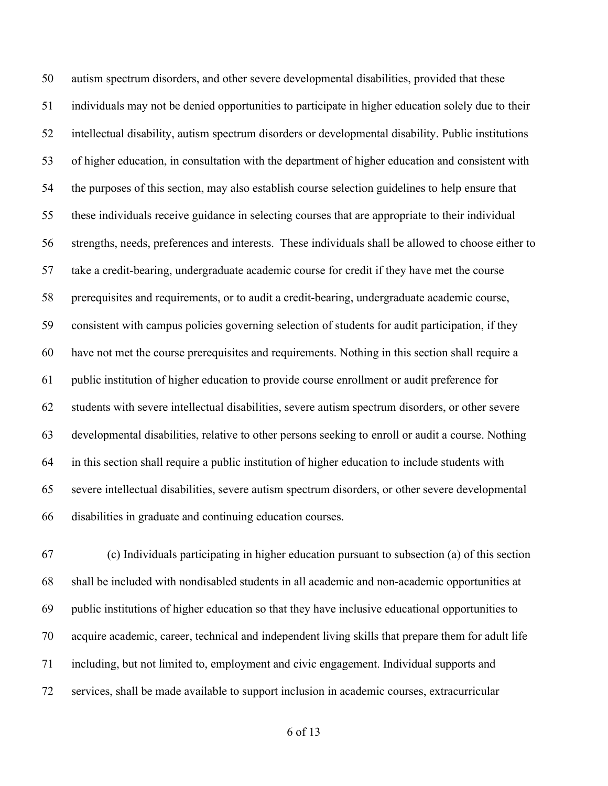autism spectrum disorders, and other severe developmental disabilities, provided that these individuals may not be denied opportunities to participate in higher education solely due to their intellectual disability, autism spectrum disorders or developmental disability. Public institutions of higher education, in consultation with the department of higher education and consistent with the purposes of this section, may also establish course selection guidelines to help ensure that these individuals receive guidance in selecting courses that are appropriate to their individual strengths, needs, preferences and interests. These individuals shall be allowed to choose either to take a credit-bearing, undergraduate academic course for credit if they have met the course prerequisites and requirements, or to audit a credit-bearing, undergraduate academic course, consistent with campus policies governing selection of students for audit participation, if they have not met the course prerequisites and requirements. Nothing in this section shall require a public institution of higher education to provide course enrollment or audit preference for students with severe intellectual disabilities, severe autism spectrum disorders, or other severe developmental disabilities, relative to other persons seeking to enroll or audit a course. Nothing in this section shall require a public institution of higher education to include students with severe intellectual disabilities, severe autism spectrum disorders, or other severe developmental disabilities in graduate and continuing education courses.

 (c) Individuals participating in higher education pursuant to subsection (a) of this section shall be included with nondisabled students in all academic and non-academic opportunities at public institutions of higher education so that they have inclusive educational opportunities to acquire academic, career, technical and independent living skills that prepare them for adult life including, but not limited to, employment and civic engagement. Individual supports and services, shall be made available to support inclusion in academic courses, extracurricular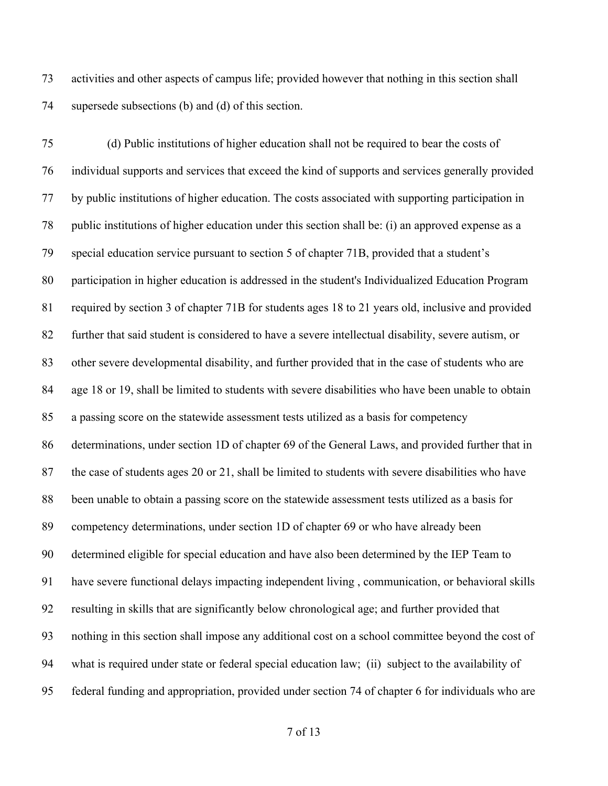activities and other aspects of campus life; provided however that nothing in this section shall supersede subsections (b) and (d) of this section.

 (d) Public institutions of higher education shall not be required to bear the costs of individual supports and services that exceed the kind of supports and services generally provided by public institutions of higher education. The costs associated with supporting participation in public institutions of higher education under this section shall be: (i) an approved expense as a special education service pursuant to section 5 of chapter 71B, provided that a student's participation in higher education is addressed in the student's Individualized Education Program required by section 3 of chapter 71B for students ages 18 to 21 years old, inclusive and provided further that said student is considered to have a severe intellectual disability, severe autism, or other severe developmental disability, and further provided that in the case of students who are age 18 or 19, shall be limited to students with severe disabilities who have been unable to obtain a passing score on the statewide assessment tests utilized as a basis for competency determinations, under section 1D of chapter 69 of the General Laws, and provided further that in the case of students ages 20 or 21, shall be limited to students with severe disabilities who have been unable to obtain a passing score on the statewide assessment tests utilized as a basis for competency determinations, under section 1D of chapter 69 or who have already been determined eligible for special education and have also been determined by the IEP Team to have severe functional delays impacting independent living , communication, or behavioral skills resulting in skills that are significantly below chronological age; and further provided that nothing in this section shall impose any additional cost on a school committee beyond the cost of what is required under state or federal special education law; (ii) subject to the availability of federal funding and appropriation, provided under section 74 of chapter 6 for individuals who are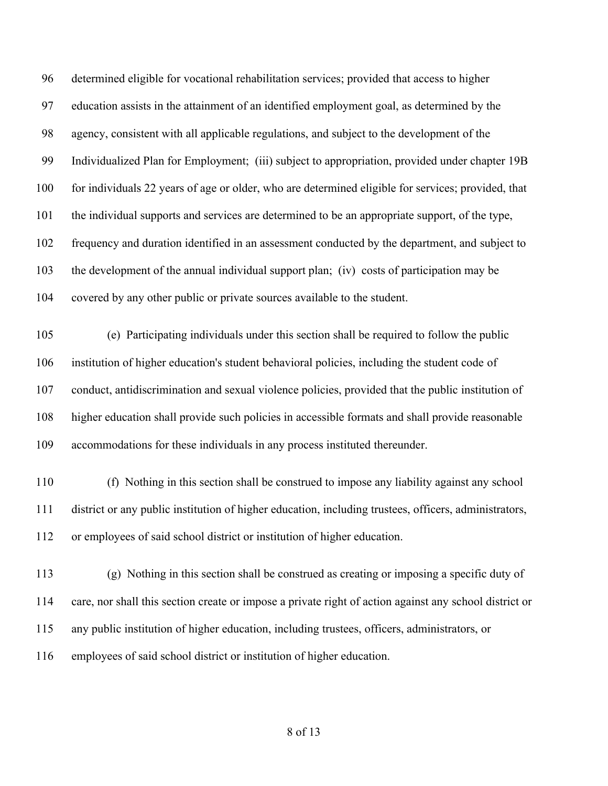| 96  | determined eligible for vocational rehabilitation services; provided that access to higher             |
|-----|--------------------------------------------------------------------------------------------------------|
| 97  | education assists in the attainment of an identified employment goal, as determined by the             |
| 98  | agency, consistent with all applicable regulations, and subject to the development of the              |
| 99  | Individualized Plan for Employment; (iii) subject to appropriation, provided under chapter 19B         |
| 100 | for individuals 22 years of age or older, who are determined eligible for services; provided, that     |
| 101 | the individual supports and services are determined to be an appropriate support, of the type,         |
| 102 | frequency and duration identified in an assessment conducted by the department, and subject to         |
| 103 | the development of the annual individual support plan; (iv) costs of participation may be              |
| 104 | covered by any other public or private sources available to the student.                               |
| 105 | (e) Participating individuals under this section shall be required to follow the public                |
| 106 | institution of higher education's student behavioral policies, including the student code of           |
| 107 | conduct, antidiscrimination and sexual violence policies, provided that the public institution of      |
| 108 | higher education shall provide such policies in accessible formats and shall provide reasonable        |
| 109 | accommodations for these individuals in any process instituted thereunder.                             |
| 110 | (f) Nothing in this section shall be construed to impose any liability against any school              |
| 111 | district or any public institution of higher education, including trustees, officers, administrators,  |
| 112 | or employees of said school district or institution of higher education.                               |
|     |                                                                                                        |
| 113 | (g) Nothing in this section shall be construed as creating or imposing a specific duty of              |
| 114 | care, nor shall this section create or impose a private right of action against any school district or |
| 115 | any public institution of higher education, including trustees, officers, administrators, or           |
| 116 | employees of said school district or institution of higher education.                                  |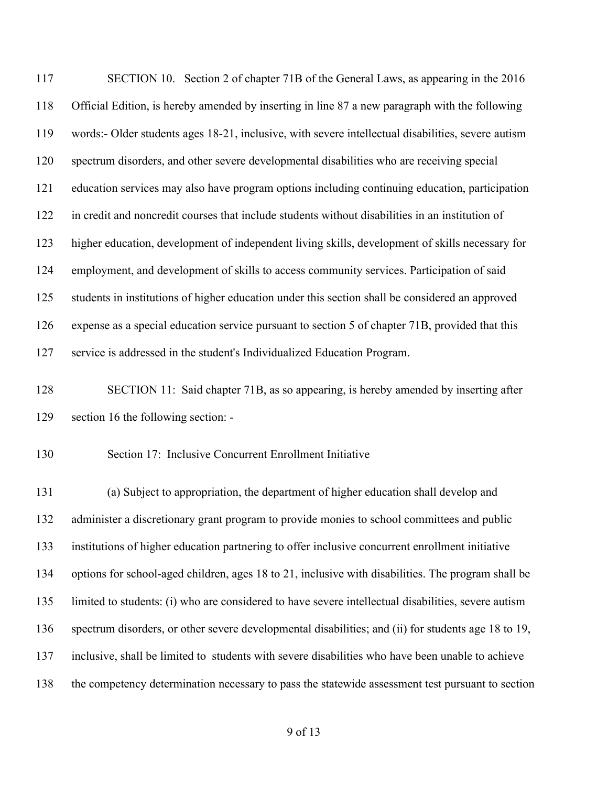SECTION 10. Section 2 of chapter 71B of the General Laws, as appearing in the 2016 Official Edition, is hereby amended by inserting in line 87 a new paragraph with the following words:- Older students ages 18-21, inclusive, with severe intellectual disabilities, severe autism spectrum disorders, and other severe developmental disabilities who are receiving special education services may also have program options including continuing education, participation in credit and noncredit courses that include students without disabilities in an institution of higher education, development of independent living skills, development of skills necessary for employment, and development of skills to access community services. Participation of said students in institutions of higher education under this section shall be considered an approved expense as a special education service pursuant to section 5 of chapter 71B, provided that this service is addressed in the student's Individualized Education Program.

 SECTION 11: Said chapter 71B, as so appearing, is hereby amended by inserting after section 16 the following section: -

Section 17: Inclusive Concurrent Enrollment Initiative

 (a) Subject to appropriation, the department of higher education shall develop and administer a discretionary grant program to provide monies to school committees and public institutions of higher education partnering to offer inclusive concurrent enrollment initiative options for school-aged children, ages 18 to 21, inclusive with disabilities. The program shall be limited to students: (i) who are considered to have severe intellectual disabilities, severe autism spectrum disorders, or other severe developmental disabilities; and (ii) for students age 18 to 19, inclusive, shall be limited to students with severe disabilities who have been unable to achieve the competency determination necessary to pass the statewide assessment test pursuant to section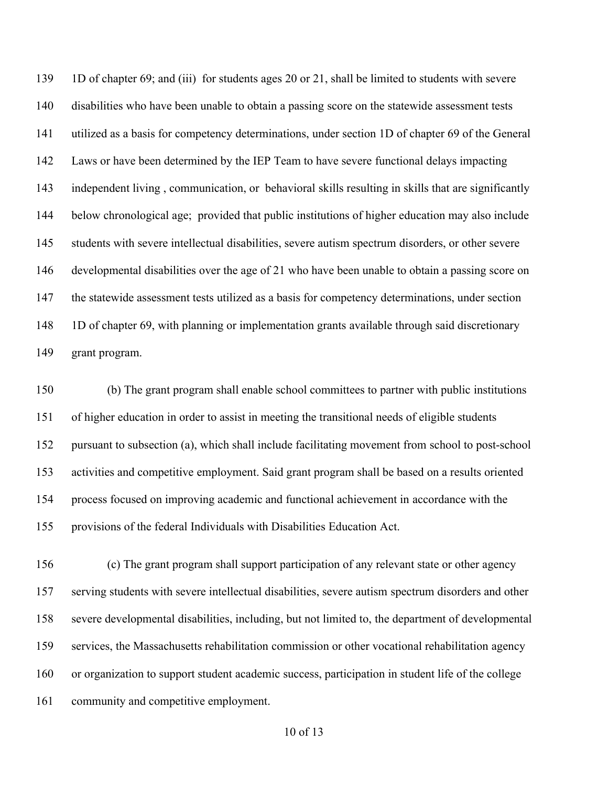1D of chapter 69; and (iii) for students ages 20 or 21, shall be limited to students with severe disabilities who have been unable to obtain a passing score on the statewide assessment tests utilized as a basis for competency determinations, under section 1D of chapter 69 of the General Laws or have been determined by the IEP Team to have severe functional delays impacting independent living , communication, or behavioral skills resulting in skills that are significantly below chronological age; provided that public institutions of higher education may also include students with severe intellectual disabilities, severe autism spectrum disorders, or other severe developmental disabilities over the age of 21 who have been unable to obtain a passing score on the statewide assessment tests utilized as a basis for competency determinations, under section 1D of chapter 69, with planning or implementation grants available through said discretionary grant program.

 (b) The grant program shall enable school committees to partner with public institutions of higher education in order to assist in meeting the transitional needs of eligible students pursuant to subsection (a), which shall include facilitating movement from school to post-school activities and competitive employment. Said grant program shall be based on a results oriented process focused on improving academic and functional achievement in accordance with the provisions of the federal Individuals with Disabilities Education Act.

 (c) The grant program shall support participation of any relevant state or other agency serving students with severe intellectual disabilities, severe autism spectrum disorders and other severe developmental disabilities, including, but not limited to, the department of developmental services, the Massachusetts rehabilitation commission or other vocational rehabilitation agency or organization to support student academic success, participation in student life of the college community and competitive employment.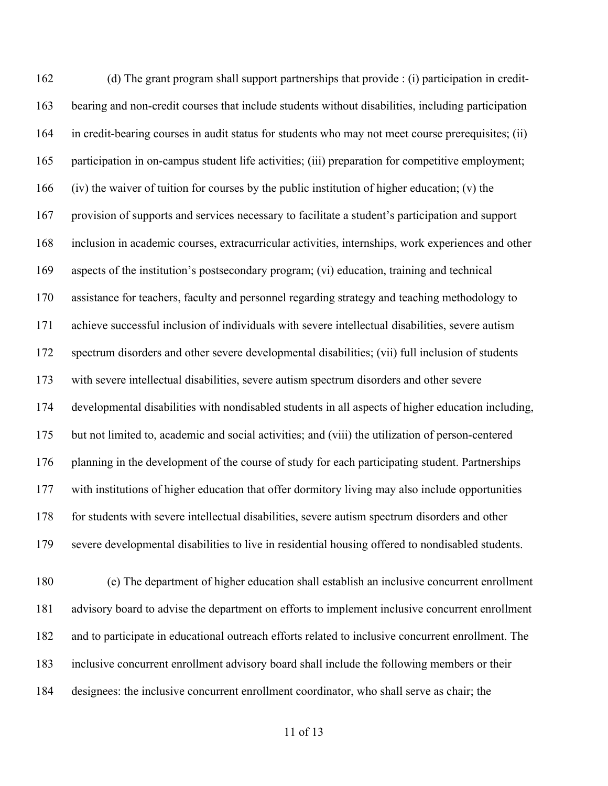(d) The grant program shall support partnerships that provide : (i) participation in credit- bearing and non-credit courses that include students without disabilities, including participation in credit-bearing courses in audit status for students who may not meet course prerequisites; (ii) participation in on-campus student life activities; (iii) preparation for competitive employment; (iv) the waiver of tuition for courses by the public institution of higher education; (v) the provision of supports and services necessary to facilitate a student's participation and support inclusion in academic courses, extracurricular activities, internships, work experiences and other aspects of the institution's postsecondary program; (vi) education, training and technical assistance for teachers, faculty and personnel regarding strategy and teaching methodology to achieve successful inclusion of individuals with severe intellectual disabilities, severe autism spectrum disorders and other severe developmental disabilities; (vii) full inclusion of students with severe intellectual disabilities, severe autism spectrum disorders and other severe developmental disabilities with nondisabled students in all aspects of higher education including, but not limited to, academic and social activities; and (viii) the utilization of person-centered 176 planning in the development of the course of study for each participating student. Partnerships with institutions of higher education that offer dormitory living may also include opportunities for students with severe intellectual disabilities, severe autism spectrum disorders and other severe developmental disabilities to live in residential housing offered to nondisabled students.

 (e) The department of higher education shall establish an inclusive concurrent enrollment advisory board to advise the department on efforts to implement inclusive concurrent enrollment and to participate in educational outreach efforts related to inclusive concurrent enrollment. The inclusive concurrent enrollment advisory board shall include the following members or their designees: the inclusive concurrent enrollment coordinator, who shall serve as chair; the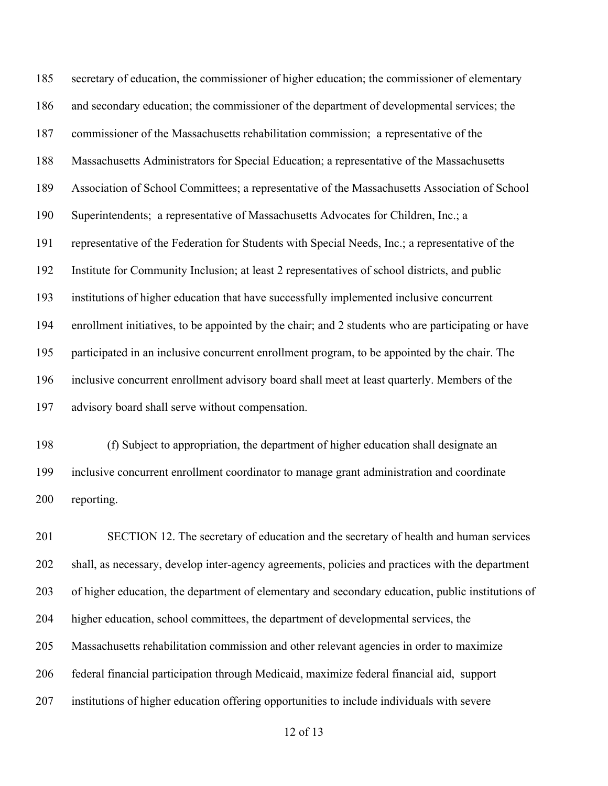secretary of education, the commissioner of higher education; the commissioner of elementary and secondary education; the commissioner of the department of developmental services; the commissioner of the Massachusetts rehabilitation commission; a representative of the Massachusetts Administrators for Special Education; a representative of the Massachusetts Association of School Committees; a representative of the Massachusetts Association of School Superintendents; a representative of Massachusetts Advocates for Children, Inc.; a representative of the Federation for Students with Special Needs, Inc.; a representative of the Institute for Community Inclusion; at least 2 representatives of school districts, and public institutions of higher education that have successfully implemented inclusive concurrent enrollment initiatives, to be appointed by the chair; and 2 students who are participating or have participated in an inclusive concurrent enrollment program, to be appointed by the chair. The inclusive concurrent enrollment advisory board shall meet at least quarterly. Members of the advisory board shall serve without compensation.

 (f) Subject to appropriation, the department of higher education shall designate an inclusive concurrent enrollment coordinator to manage grant administration and coordinate reporting.

 SECTION 12. The secretary of education and the secretary of health and human services shall, as necessary, develop inter-agency agreements, policies and practices with the department of higher education, the department of elementary and secondary education, public institutions of higher education, school committees, the department of developmental services, the Massachusetts rehabilitation commission and other relevant agencies in order to maximize federal financial participation through Medicaid, maximize federal financial aid, support institutions of higher education offering opportunities to include individuals with severe